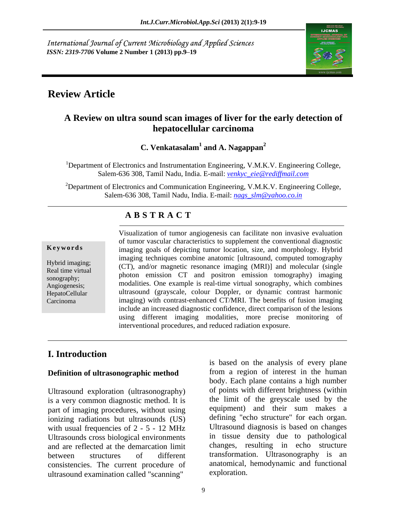International Journal of Current Microbiology and Applied Sciences *ISSN: 2319-7706* **Volume 2 Number 1 (2013) pp.9 19**



## **Review Article**

## **A Review on ultra sound scan images of liver for the early detection of hepatocellular carcinoma**

**C. Venkatasalam<sup>1</sup> and A. Nagappan<sup>2</sup>**

<sup>1</sup>Department of Electronics and Instrumentation Engineering, V.M.K.V. Engineering College, Salem-636 308, Tamil Nadu, India. E-mail: *venkyc\_eie@rediffmail.com*

<sup>2</sup>Department of Electronics and Communication Engineering, V.M.K.V. Engineering College, Salem-636 308, Tamil Nadu, India. E-mail: *nags\_slm@yahoo.co.in*

## **A B S T R A C T**

**Keywords** imaging goals of depicting tumor location, size, and morphology. Hybrid Hybrid imaging;<br>Real time virtual (CT), and/or magnetic resonance imaging (MRI)] and molecular (single Real time virtual  $(0, 1)$ , and/of magnetic resonance maging  $(n)(1)$  and molecular (single sonography; photon emission CT and positron emission tomography) imaging Angiogenesis; modalities. One example is real-time virtual sonography, which combines HepatoCellular ultrasound (grayscale, colour Doppler, or dynamic contrast harmonic Carcinoma imaging) with contrast-enhanced CT/MRI. The benefits of fusion imaging Visualization of tumor angiogenesis can facilitate non invasive evaluation of tumor vascular characteristics to supplement the conventional diagnostic imaging techniques combine anatomic [ultrasound, computed tomography include an increased diagnostic confidence, direct comparison of the lesions using different imaging modalities, more precise monitoring of interventional procedures, and reduced radiation exposure.

## **I. Introduction**

### **Definition of ultrasonographic method**

Ultrasound exploration (ultrasonography) is a very common diagnostic method. It is part of imaging procedures, without using ionizing radiations but ultrasounds (US) with usual frequencies of 2 - 5 - 12 MHz Ultrasounds cross biological environments and are reflected at the demarcation limit between structures of different transformation. Ultrasonography is an consistencies. The current procedure of anatomical,<br>ultrasound examination called "scanning" exploration. ultrasound examination called "scanning"

is based on the analysis of every plane from a region of interest in the human body. Each plane contains a high number of points with different brightness (within the limit of the greyscale used by the equipment) and their sum makes a defining "echo structure" for each organ. Ultrasound diagnosis is based on changes in tissue density due to pathological changes, resulting in echo structure anatomical, hemodynamic and functional exploration.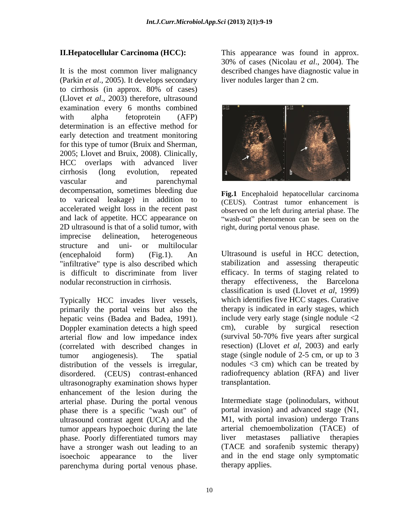It is the most common liver malignancy (Parkin *et al*., 2005). It develops secondary to cirrhosis (in approx. 80% of cases) (Llovet *et al*., 2003) therefore, ultrasound examination every 6 months combined with alpha fetoprotein (AFP) and the state of the state of the state of the state of the state of the state of the state of the state of the state of the state of the state of the state of the state of the state of the sta determination is an effective method for early detection and treatment monitoring for this type of tumor (Bruix and Sherman, 2005; Llovet and Bruix, 2008). Clinically, HCC overlaps with advanced liver cirrhosis (long evolution, repeated a strategy of the strategy of the strategy of the strategy of the strategy of the strategy of the strategy of the strategy of the strategy of the strategy of the strategy of the strategy vascular and parenchymal **being the contract of the contract of the contract of the contract of the contract of the contract of the contract of the contract of the contract of the contract of the contract of the contract o** decompensation, sometimes bleeding due to variceal leakage) in addition to accelerated weight loss in the recent past and lack of appetite. HCC appearance on "wash-out" phenomenon can be seen on the 2D ultrasound is that of a solid tumor, with imprecise delineation, heterogeneous structure and uni- or multilocular (encephaloid form) (Fig.1). An Ultrasound is useful in HCC detection, "infiltrative" type is also described which is difficult to discriminate from liver nodular reconstruction in cirrhosis. The energy effectiveness, the Barcelona **ILIEpatecellular Carcinoms (IICC):**<br>
It is the most communistive described througe described integrates have a streague of the most communistic portal venous and the most of  $\alpha$  of  $\alpha$  and  $\alpha$  of  $\alpha$  and  $\alpha$  of  $\alpha$ 

Typically HCC invades liver vessels, primarily the portal veins but also the therapy is indicated in early stages, which hepatic veins (Badea and Badea, 1991). Doppler examination detects a high speed cm), arterial flow and low impedance index (correlated with described changes in tumor angiogenesis). The spatial stage (single nodule of 2-5 cm, or up to 3 distribution of the vessels is irregular, disordered. (CEUS) contrast-enhanced radiofrequency ablation (RFA) and liver ultrasonography examination shows hyper enhancement of the lesion during the arterial phase. During the portal venous phase there is a specific "wash out" of ultrasound contrast agent (UCA) and the tumor appears hypoechoic during the late phase. Poorly differentiated tumors may liver metastases palliative therapies

**II. Hepatocellular Carcinoma (HCC):** This appearance was found in approx. described changes have diagnostic value in liver nodules larger than 2 cm.



**Fig.1** Encephaloid hepatocellular carcinoma (CEUS). Contrast tumor enhancement is observed on the left during arterial phase. The right, during portal venous phase.

stabilization and assessing therapeutic efficacy. In terms of staging related to therapy effectiveness, the Barcelona classification is used (Llovet *et al*, 1999) which identifies five HCC stages. Curative include very early stage (single nodule <2 curable by surgical resection (survival 50-70% five years after surgical resection) (Llovet *et al*, 2003) and early nodules <3 cm) which can be treated by transplantation.

have a stronger wash out leading to an (TACE and sorafenib systemic therapy) isoechoic appearance to the liver and in the end stage only symptomatic Intermediate stage (polinodulars, without portal invasion) and advanced stage (N1, M1, with portal invasion) undergo Trans arterial chemoembolization (TACE) of liver metastases palliative therapies therapy applies.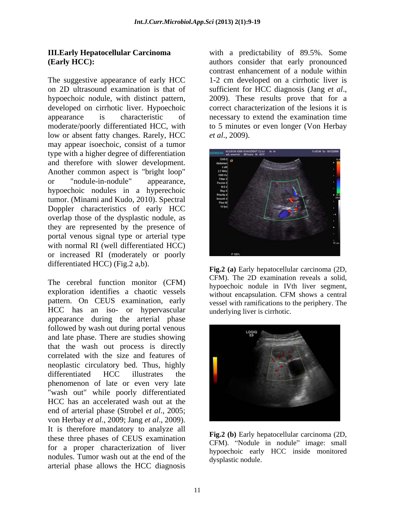The suggestive appearance of early HCC on 2D ultrasound examination is that of sufficient for HCC diagnosis (Jang et al., hypoechoic nodule, with distinct pattern, 2009). These results prove that for a developed on cirrhotic liver. Hypoechoic correct characterization of the lesions it is appearance is characteristic of necessary to extend the examination time moderate/poorly differentiated HCC, with to 5 minutes or even longer (Von Herbay low or absent fatty changes. Rarely, HCC *et al.*, 2009). may appear isoechoic, consist of a tumor type with a higher degree of differentiation and therefore with slower development. Another common aspect is "bright loop" hypoechoic nodules in a hyperechoic tumor. (Minami and Kudo, 2010). Spectral Doppler characteristics of early HCC overlap those of the dysplastic nodule, as they are represented by the presence of portal venous signal type or arterial type with normal RI (well differentiated HCC) or increased RI (moderately or poorly

exploration identifies a chaotic vessels without encapsulation. CFM shows a central pattern. On CEUS examination, early HCC has an iso- or hypervascular appearance during the arterial phase followed by wash out during portal venous and late phase. There are studies showing that the wash out process is directly correlated with the size and features of neoplastic circulatory bed. Thus, highly phenomenon of late or even very late "wash out" while poorly differentiated HCC has an accelerated wash out at the end of arterial phase (Strobel *et al*., 2005; von Herbay *et al.*, 2009; Jang *et al*., 2009). It is therefore mandatory to analyze all these three phases of CEUS examination for a proper characterization of liver nodules. Tumor wash out at the end of the arterial phase allows the HCC diagnosis

**III.Early Hepatocellular Carcinoma**  with a predictability of 89.5%. Some **(Early HCC):** authors consider that early pronounced contrast enhancement of a nodule within 1-2 cm developed on a cirrhotic liver is sufficient for HCC diagnosis (Jang *et al*., 2009). These results prove that for <sup>a</sup> *et al*., 2009).



differentiated HCC) (Fig.2 a,b).<br> **Fig.2 (a)** Early hepatocellular carcinoma (2D,<br>
CFM). The 2D examination reveals a solid,<br>
hypocobois, nodule in Wth liver segment **Fig.2 (a)** Early hepatocellular carcinoma (2D, CFM). The 2D examination reveals a solid, hypoechoic nodule in IVth liver segment, without encapsulation. CFM shows a central vessel with ramifications to the periphery. The underlying liver is cirrhotic.



**Fig.2 (b)** Early hepatocellular carcinoma (2D, CFM). "Nodule in nodule" image: small hypoechoic early HCC inside monitored dysplastic nodule.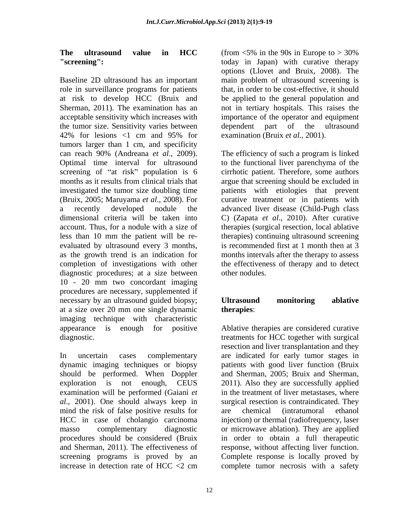# **The ultrasound value in HCC** (from  $\lt 5\%$  in the 90s in Europe to  $> 30\%$

Baseline 2D ultrasound has an important main problem of ultrasound screening is role in surveillance programs for patients that, in order to be cost-effective, it should at risk to develop HCC (Bruix and be applied to the general population and Sherman, 2011). The examination has an not in tertiary hospitals. This raises the acceptable sensitivity which increases with importance of the operator and equipment the tumor size. Sensitivity varies between dependent part of the ultrasound 42% for lesions  $\langle 1 \rangle$  cm and 95% for examination (Bruix *et al.*, 2001). tumors larger than 1 cm, and specificity can reach 90% (Andreana *et al*., 2009). The efficiency of such a program is linked Optimal time interval for ultrasound to the functional liver parenchyma of the screening of "at risk" population is  $6$ months as it results from clinical trials that argue that screening should be excluded in investigated the tumor size doubling time patients with etiologies that prevent (Bruix, 2005; Maruyama *et al*., 2008). For curative treatment or in patients with a recently developed nodule the advanced liver disease (Child-Pugh class dimensional criteria will be taken into C) (Zapata *et al*., 2010). After curative account. Thus, for a nodule with a size of therapies (surgical resection, local ablative less than 10 mm the patient will be re- therapies) continuing ultrasound screening evaluated by ultrasound every 3 months, is recommended first at 1 month then at 3 as the growth trend is an indication for months intervals after the therapy to assess completion of investigations with other the effectiveness of therapy and to detect diagnostic procedures; at a size between other nodules. 10 - 20 mm two concordant imaging procedures are necessary, supplemented if necessary by an ultrasound guided biopsy; **Ultrasound** monitoring ablative at a size over 20 mm one single dynamic imaging technique with characteristic appearance is enough for positive Ablative therapies are considered curative diagnostic. treatments for HCC together with surgical

In uncertain cases complementary are indicated for early tumor stages in dynamic imaging techniques or biopsy should be performed. When Doppler and Sherman, 2005; Bruix and Sherman, exploration is not enough, CEUS 2011). Also they are successfully applied examination will be performed (Gaiani *et* in the treatment of liver metastases, where *al*., 2001). One should always keep in mind the risk of false positive results for are chemical (intratumoral ethanol HCC in case of cholangio carcinoma injection) or thermal (radiofrequency, laser masso complementary diagnostic or microwave ablation). They are applied procedures should be considered (Bruix in order to obtain a full therapeutic and Sherman, 2011). The effectiveness of response, without affecting liver function. screening programs is proved by an increase in detection rate of HCC  $\lt 2$  cm increase in detection rate of HCC  $\lt 2$  cm complete tumor necrosis with a safety

**"screening":** today in Japan) with curative therapy (from  $\lt 5\%$  in the 90s in Europe to  $> 30\%$ options (Llovet and Bruix, 2008). The dependent part of the ultrasound examination (Bruix *et al.*, 2001).

> cirrhotic patient. Therefore, some authors other nodules.

### **Ultrasound monitoring ablative therapies**:

resection and liver transplantation and they patients with good liver function (Bruix surgical resection is contraindicated. They are chemical (intratumoral ethanol Complete response is locally proved by complete tumor necrosis with a safety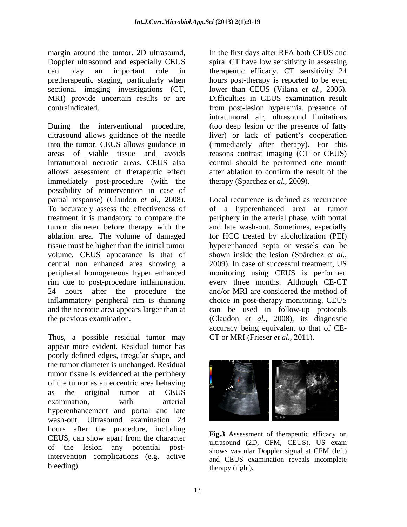margin around the tumor. 2D ultrasound, In the first days after RFA both CEUS and Doppler ultrasound and especially CEUS spiral CT have low sensitivity in assessing can play an important role in therapeutic efficacy. CT sensitivity 24 pretherapeutic staging, particularly when sectional imaging investigations (CT, lower than CEUS (Vilana *et al.*, 2006). MRI) provide uncertain results or are Difficulties in CEUS examination result contraindicated. from post-lesion hyperemia, presence of

During the interventional procedure, (too deep lesion or the presence of fatty ultrasound allows guidance of the needle liver) or lack of patient's cooperation into the tumor. CEUS allows guidance in (immediately after therapy). For this areas of viable tissue and avoids reasons contrast imaging (CT or CEUS) intratumoral necrotic areas. CEUS also control should be performed one month allows assessment of therapeutic effect after ablation to confirm the result of the immediately post-procedure (with the possibility of reintervention in case of partial response) (Claudon *et al.*, 2008). To accurately assess the effectiveness of treatment it is mandatory to compare the periphery in the arterial phase, with portal tumor diameter before therapy with the and late wash-out. Sometimes, especially ablation area. The volume of damaged for HCC treated by alcoholization (PEI) tissue must be higher than the initial tumor hyperenhanced septa or vessels can be volume. CEUS appearance is that of shown inside the lesion (Spârchez et al., central non enhanced area showing a peripheral homogeneous hyper enhanced rim due to post-procedure inflammation. every three months. Although CE-CT 24 hours after the procedure the and/or MRI are considered the method of inflammatory peripheral rim is thinning choice in post-therapy monitoring, CEUS and the necrotic area appears larger than at can be used in follow-up protocols the previous examination. (Claudon *et al.*, 2008), its diagnostic

Thus, a possible residual tumor may appear more evident. Residual tumor has poorly defined edges, irregular shape, and the tumor diameter is unchanged. Residual tumor tissue is evidenced at the periphery of the tumor as an eccentric area behaving hyperenhancement and portal and late wash-out. Ultrasound examination 24 hours after the procedure, including CEUS, can show apart from the character of the lesion any potential post-<br>shows vascular Doppler signal at CFM (left) intervention complications (e.g. active

hours post-therapy is reported to be even intratumoral air, ultrasound limitations after ablation to confirm the result of the therapy (Sparchez *et al.*, 2009).

Local recurrence is defined as recurrence of a hyperenhanced area at tumor shown inside the lesion (Spârchez *et al.*, 2009). In case of successful treatment, US monitoring using CEUS is performed accuracy being equivalent to that of CE- CT or MRI (Frieser *et al.*, 2011).



bleeding). **Fig.3** Assessment of therapeutic efficacy on ultrasound (2D, CFM, CEUS). US exam shows vascular Doppler signal at CFM (left) and CEUS examination reveals incomplete therapy (right).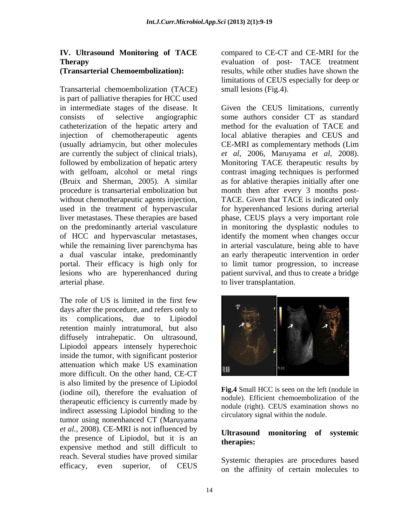# **(Transarterial Chemoembolization):**

Transarterial chemoembolization (TACE) is part of palliative therapies for HCC used in intermediate stages of the disease. It Given the CEUS limitations, currently catheterization of the hepatic artery and injection of chemotherapeutic agents lesions who are hyperenhanced during arterial phase. to liver transplantation.

The role of US is limited in the first few days after the procedure, and refers only to its complications, due to Lipiodol retention mainly intratumoral, but also diffusely intrahepatic. On ultrasound, Lipiodol appears intensely hyperechoic inside the tumor, with significant posterior attenuation which make US examination  $\mathbb{R}^n$ more difficult. On the other hand, CE-CT is also limited by the presence of Lipiodol (iodine oil), therefore the evaluation of therapeutic efficiency is currently made by indirect assessing Lipiodol binding to the tumor using nonenhanced CT (Maruyama *et al.,* 2008). CE-MRI is not influenced by the presence of Lipiodol, but it is an **therapies:** expensive method and still difficult to reach. Several studies have proved similar

**IV. Ultrasound Monitoring of TACE** compared to CE-CT and CE-MRI for the **Therapy** evaluation of post- TACE treatment results, while other studies have shown the limitations of CEUS especially for deep or

consists of selective angiographic some authors consider CT as standard (usually adriamycin, but other molecules CE-MRI as complementary methods (Lim are currently the subject of clinical trials), *et al*, 2006, Maruyama *et al*, 2008). followed by embolization of hepatic artery Monitoring TACE therapeutic results by with gelfoam, alcohol or metal rings contrast imaging techniques is performed (Bruix and Sherman, 2005). A similar as for ablative therapies initially after one procedure is transarterial embolization but month then after every 3 months post without chemotherapeutic agents injection, TACE. Given that TACE is indicated only used in the treatment of hypervascular for hyperenhanced lesions during arterial liver metastases. These therapies are based phase, CEUS plays a very important role on the predominantly arterial vasculature in monitoring the dysplastic nodules to of HCC and hypervascular metastases, identify the moment when changes occur while the remaining liver parenchyma has in arterial vasculature, being able to have a dual vascular intake, predominantly an early therapeutic intervention in order portal. Their efficacy is high only for to limit tumor progression, to increase small lesions (Fig.4). Given the CEUS limitations, currently method for the evaluation of TACE and local ablative therapies and CEUS and patient survival, and thus to create a bridge



**Fig.4** Small HCC is seen on the left (nodule in nodule). Efficient chemoembolization of the nodule (right). CEUS examination shows no circulatory signal within the nodule.

### **Ultrasound monitoring of systemic therapies:**

efficacy, even superior, of CEUS on the affinity of certain molecules to Systemic therapies are procedures based on the affinity of certain molecules to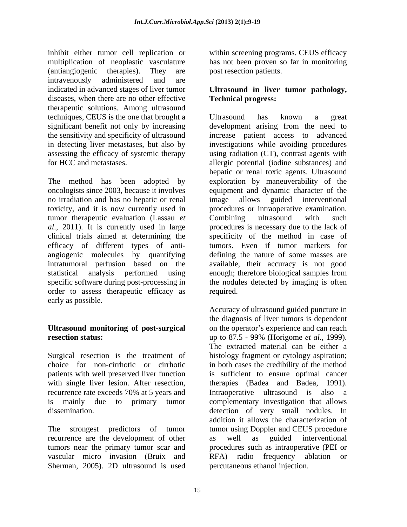inhibit either tumor cell replication or within screening programs. CEUS efficacy multiplication of neoplastic vasculature (antiangiogenic therapies). They are post resection patients. intravenously administered and are indicated in advanced stages of liver tumor **Ultrasound in liver tumor pathology,** diseases, when there are no other effective therapeutic solutions. Among ultrasound techniques, CEUS is the one that brought a Ultrasound has known a great

no irradiation and has no hepatic or renal tumor therapeutic evaluation (Lassau *et*  angiogenic molecules by quantifying order to assess therapeutic efficacy as required. early as possible.

# **resection status:** up to 87.5 - 99% (Horigome *et al.*, 1999).

recurrence are the development of other as well as guided interventional tumors near the primary tumor scar and vascular micro invasion (Bruix and

has not been proven so far in monitoring post resection patients.

# **Technical progress:**

significant benefit not only by increasing development arising from the need to the sensitivity and specificity of ultrasound increase patient access to advanced in detecting liver metastases, but also by investigations while avoiding procedures assessing the efficacy of systemic therapy using radiation (CT), contrast agents with for HCC and metastases. allergic potential (iodine substances) and The method has been adopted by exploration by maneuverability of the oncologists since 2003, because it involves equipment and dynamic character of the toxicity, and it is now currently used in procedures or intraoperative examination. *al*., 2011). It is currently used in large procedures is necessary due to the lack of clinical trials aimed at determining the specificity of the method in case of efficacy of different types of anti- tumors. Even if tumor markers for intratumoral perfusion based on the available, their accuracy is not good statistical analysis performed using enough; therefore biological samples from specific software during post-processing in the nodules detected by imaging is often Ultrasound has known a great hepatic or renal toxic agents. Ultrasound image allows guided interventional Combining ultrasound with such defining the nature of some masses are required.

**Ultrasound monitoring of post-surgical** on the operator's experience and can reach Surgical resection is the treatment of histology fragment or cytology aspiration; choice for non-cirrhotic or cirrhotic in both cases the credibility of the method patients with well preserved liver function is sufficient to ensure optimal cancer with single liver lesion. After resection, therapies (Badea and Badea, 1991). recurrence rate exceeds 70% at 5 years and Intraoperative ultrasound is also a is mainly due to primary tumor complementary investigation that allows dissemination. detection of very small nodules. In The strongest predictors of tumor tumor using Doppler and CEUS procedure Sherman, 2005). 2D ultrasound is used percutaneous ethanol injection. Accuracy of ultrasound guided puncture in the diagnosis of liver tumors is dependent up to 87.5 - 99% (Horigome *et al.*, 1999). The extracted material can be either a addition it allows the characterization of as well as guided interventional procedures such as intraoperative (PEI or RFA) radio frequency ablation percutaneous ethanol injection.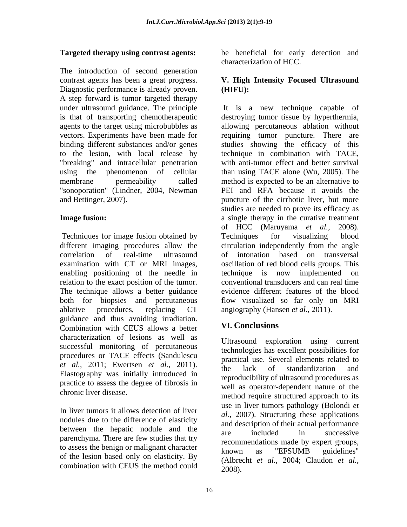### **Targeted therapy using contrast agents:**

The introduction of second generation contrast agents has been a great progress. **V. High Intensity Focused Ultrasound** Diagnostic performance is already proven. (HIFU): A step forward is tumor targeted therapy

Techniques for image fusion obtained by Techniques for visualizing blood examination with CT or MRI images, enabling positioning of the needle in technique is now implemented on relation to the exact position of the tumor. The technique allows a better guidance ablative procedures, replacing CT angiography (Hansen *et al.*, 2011). guidance and thus avoiding irradiation.<br>Combination with CEUS allows a better **VI. Conclusions** Combination with CEUS allows a better characterization of lesions as well as successful monitoring of percutaneous procedures or TACE effects (Sandulescu *et al.*, 2011; Ewertsen *et al.*, 2011). Elastography was initially introduced in practice to assess the degree of fibrosis in

In liver tumors it allows detection of liver nodules due to the difference of elasticity between the hepatic nodule and the are included in successive parenchyma. There are few studies that try to assess the benign or malignant character<br>known as "EFSUMB guidelines" of the lesion based only on elasticity. By<br>(Albrecht et al., 2004; Claudon et al., combination with CEUS the method could  $\frac{(A)_{\text{DDC}}}{2008}$ 

be beneficial for early detection and characterization of HCC.

# **(HIFU):**

under ultrasound guidance. The principle It is a new technique capable of is that of transporting chemotherapeutic destroying tumor tissue by hyperthermia, agents to the target using microbubbles as allowing percutaneous ablation without vectors. Experiments have been made for requiring tumor puncture. There are binding different substances and/or genes studies showing the efficacy of this to the lesion, with local release by technique in combination with TACE, "breaking" and intracellular penetration with anti-tumor effect and better survival using the phenomenon of cellular than using TACE alone (Wu, 2005). The membrane permeability called method is expected to be an alternative to "sonoporation" (Lindner, 2004, Newman PEI and RFA because it avoids the and Bettinger, 2007). puncture of the cirrhotic liver, but more **Image fusion:** a single therapy in the curative treatment different imaging procedures allow the circulation independently from the angle correlation of real-time ultrasound both for biopsies and percutaneous flow visualized so far only on MRI studies are needed to prove its efficacy as of HCC (Maruyama *et al.*, 2008). Techniques for visualizing blood of intonation based on transversal oscillation of red blood cells groups. This technique is now implemented on conventional transducers and can real time evidence different features of the blood

## **VI. Conclusions**

chronic liver disease. method require structured approach to its Ultrasound exploration using current technologies has excellent possibilities for practical use. Several elements related to the lack of standardization and reproducibility of ultrasound procedures as well as operator-dependent nature of the use in liver tumors pathology (Bolondi *et al.*, 2007). Structuring these applications and description of their actual performance are included in successive recommendations made by expert groups, known as "EFSUMB guidelines" (Albrecht *et al.*, 2004; Claudon *et al.*, 2008).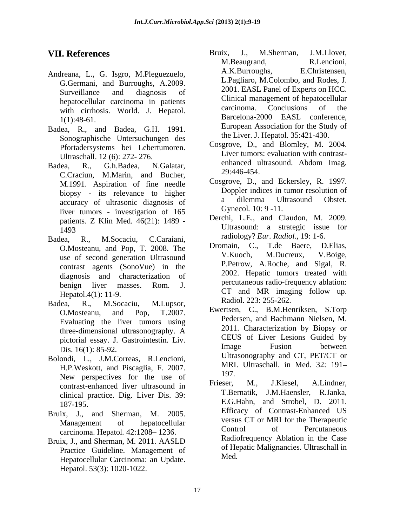- G.Germani, and Burroughs, A.2009. with cirrhosis. World. J. Hepatol.
- Badea, R., and Badea, G.H. 1991. Sonographische Untersuchungen des Pfortadersystems bei Lebertumoren. Ultraschall. 12 (6): 272- 276.
- C.Craciun, M.Marin, and Bucher, M.1991. Aspiration of fine needle accuracy of ultrasonic diagnosis of a different diagnosis of a different diagnosis of a different diagnosis of  $\frac{a}{y}$  different diagnosis of  $\frac{a}{y}$  different diagnosis of  $\frac{a}{y}$  different diagnosis of  $\frac{a}{y}$  di liver tumors - investigation of 165 patients. Z Klin Med*.* 46(21): 1489 -
- Badea, R., M.Socaciu, C.Caraiani, Tagology *Lur. Kaatol.*, 19:1-6.<br>O.Mosteanu, and Pop, T. 2008. The Dromain, C., T.de Baere, D.Elias, contrast agents (SonoVue) in the diagnosis and characterization of
- Badea, R., M.Socaciu, M.Lupsor, Radiol 223: 255-202. Evaluating the liver tumors using Dis. 16(1): 85-92.
- Bolondi, L., J.M.Correas, R.Lencioni, Ultra<br>H.P.Weskott, and Piscaglia, F. 2007. MRI<br>New expressives for the use of 197. New perspectives for the use of  $\frac{197}{197}$ .<br>Separate or the use of the series of the series of the M. J. Kiesel, A. Lindner, contrast-enhanced liver ultrasound in clinical practice. Dig. Liver Dis. 39:
- Bruix, J., and Sherman, M. 2005.
- Bruix, J., and Sherman, M. 2011. AASLD Practice Guideline. Management of Hepatocellular Carcinoma: an Update. Hepatol. 53(3): 1020-1022.
- VII. References Bruix, J., M.Sherman, J.M.Llovet, Andreana, L., G. Isgro, M.Pleguezuelo, A.K.Burroughs, E.Christensen, G.Cormoni and Burroughs, A.2000 L.Pagliaro, M.Colombo, and Rodes, J. Surveillance and diagnosis of  $\frac{2001}{90}$ . EASL Panel of Experts on HCC. hepatocellular carcinoma in patients<br>carcinoma. Conclusions of the 1(1):48-61. Barcelona-2000 EASL conference, Bruix, J., M.Sherman, J.M.Llovet, M.Beaugrand, R.Lencioni,<br>A.K.Burroughs, E.Christensen,<br>L.Pagliaro, M.Colombo, and Rodes, J. 2001. EASL Panel of Experts on HCC. Clinical management of hepatocellular carcinoma. Conclusions of the European Association for the Study of the Liver. J. Hepatol*.* 35:421-430.
- Badea, R., G.h.Badea, N.Galatar, enhanced ultrasound. Abdom Imag.<br>
C.Greenius M.Marin and Pueber. 29:446-454. Cosgrove, D., and Blomley, M. 2004. Liver tumors: evaluation with contrast enhanced ultrasound. Abdom Imag*.* 29:446-454.
	- biopsy its relevance to higher a university contains the university of the university of the contract of a dilemma Ultrasound Obstet. Cosgrove, D., and Eckersley, R. 1997. Doppler indices in tumor resolution of <sup>a</sup> dilemma Ultrasound Obstet. Gynecol*.* 10: 9 -11.
	- 1493 **CHITASOUNG** a strategic issue for Derchi, L.E., and Claudon, M. 2009. Ultrasound: a strategic issue for radiology? *Eur. Radiol.,* 19: 1-6.
	- use of second generation Ultrasound V.Kuoch, M.Ducreux, V.Boige, benign liver masses. Rom. J. perculaneous radio-frequency abiation: Hepatol.4(1):  $11-9$ . CT and MR imaging follow up. Dromain, C., T.de Baere, D.Elias, P.Petrow, A.Roche, and Sigal, R. 2002. Hepatic tumors treated with percutaneous radio-frequency ablation: CT and MR imaging follow up. Radiol. 223: 255-262.
	- O.Mosteanu, and Pop, T.2007. Ewerlsen, C., B.M.Henriksen, S.10rp three-dimensional ultrasonography. A  $\overline{C}$  and  $\overline{C}$  and  $\overline{C}$  and  $\overline{C}$  and  $\overline{C}$  and  $\overline{C}$  and  $\overline{C}$  and  $\overline{C}$  and  $\overline{C}$  and  $\overline{C}$  and  $\overline{C}$  and  $\overline{C}$  and  $\overline{C}$  and  $\overline{C}$  and  $\$ pictorial essay. J. Gastrointestin. Liv. CEUS of Liver Lesions Guided by<br>Image Fusion between Ewertsen, C., B.M.Henriksen, S.Torp Pedersen, and Bachmann Nielsen, M. 2011. Characterization by Biopsy or CEUS of Liver Lesions Guided by Image Fusion between Ultrasonography and CT, PET/CT or MRI. Ultraschall. in Med. 32: 191 197.
	- 187-195. E.G.Hahn, and Strobel, D. 2011. Management of hepatocellular versus CT or MRI for the Therapeutic carcinoma. Hepatol. 42:1208–1236. Control of Percutaneous Frieser, M., J.Kiesel, A.Lindner, T.Bernatik, J.M.Haensler, R.Janka, Efficacy of Contrast-Enhanced US Control of Percutaneous Radiofrequency Ablation in the Case of Hepatic Malignancies. Ultraschall in Med*.*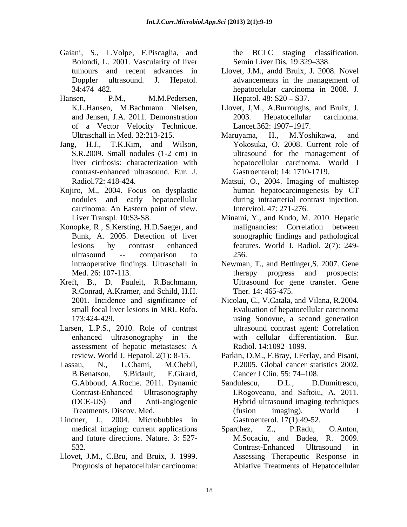- Gaiani, S., L.Volpe, F.Piscaglia, and Bolondi, L. 2001. Vascularity of liver Semin Liver Dis. 19:329–338.
- Hansen, P.M., M.M.Pedersen, Hepatol. 48: S20 S37. of a Vector Velocity Technique.
- contrast-enhanced ultrasound. Eur. J.
- Kojiro, M., 2004. Focus on dysplastic nodules and early hepatocellular carcinoma: An Eastern point of view.
- Konopke, R., S.Kersting, H.D.Saeger, and
- Kreft, B., D. Pauleit, R.Bachmann, R.Conrad, A.Kramer, and Schild, H.H.
- Larsen, L.P.S., 2010. Role of contrast enhanced ultrasonography in the assessment of hepatic metastases: A
- Lassau, N., L.Chami, M.Chebil, P.2005. Global cancer statistics 2002.<br>
B.Benatsou, S.Bidault, E.Girard, Cancer J Clin. 55: 74–108.<br>
G.Abboud, A.Roche. 2011. Dynamic Sandulescu, D.L., D.Dumitrescu,
- Lindner, J., 2004. Microbubbles in and future directions. Nature*.* 3: 527-
- Llovet, J.M., C.Bru, and Bruix, J. 1999.

the BCLC staging classification. Semin Liver Dis. 19:329–338.

- tumours and recent advances in Llovet, J.M., andd Bruix, J. 2008. Novel Doppler ultrasound. J. Hepatol*.* advancements in the management of 34:474–482. hepatocelular carcinoma in 2008. J. hepatocelular carcinoma in 2008. J.<br>Hepatol. 48: S20 – S37.
- K.L.Hansen, M.Bachmann Nielsen, Llovet, J,M., A.Burroughs, and Bruix, J. and Jensen, J.A. 2011. Demonstration 2003. Hepatocellular carcinoma. Lancet.362: 1907–1917.
- Ultraschall in Med*.* 32:213-215. Jang, H.J., T.K.Kim, and Wilson, Yokosuka, O. 2008. Current role of S.R.2009. Small nodules (1-2 cm) in ultrasound for the management of liver cirrhosis: characterization with hepatocellular carcinoma. World J Maruyama, H., Gastroenterol; 14: 1710-1719.
	- Radiol*.*72: 418-424. Matsui, O., 2004. Imaging of multistep human hepatocarcinogenesis by CT during intraarterial contrast injection. Intervirol*.* 47: 271-276.
	- Liver Transpl*.* 10:S3-S8. Minami, Y., and Kudo, M. 2010. Hepatic Bunk, A. 2005. Detection of liver sonographic findings and pathological lesions by contrast enhanced features. World J. Radiol*.* 2(7): 249 ultrasound -- comparison to 256. malignancies: Correlation between 256.
	- intraoperative findings. Ultraschall in Newman, T., and Bettinger,S. 2007. Gene Med. 26: 107-113. therapy progress and prospects: Ultrasound for gene transfer. Gene Ther*.* 14: 465-475.
	- 2001. Incidence and significance of Nicolau, C., V.Catala, and Vilana, R.2004. small focal liver lesions in MRI. Rofo. Evaluation of hepatocellular carcinoma 173:424-429. using Sonovue, a second generation ultrasound contrast agent: Correlation with cellular differentiation. Eur. Radiol. 14:1092–1099.
	- review. World J. Hepatol. 2(1): 8-15. Parkin, D.M., F.Bray, J.Ferlay, and Pisani, P.2005. Global cancer statistics 2002. Cancer J Clin. 55: 74–108.
	- Contrast-Enhanced Ultrasonography I.Rogoveanu, and Saftoiu, A. 2011. (DCE-US) and Anti-angiogenic Hybrid ultrasound imaging techniques Treatments. Discov. Med. Sandulescu, D.L., D.Dumitrescu, (fusion imaging). World J Gastroenterol. 17(1):49-52.
	- medical imaging: current applications Sparchez, Z., P.Radu, O.Anton, 532. Contrast-Enhanced Ultrasound in Prognosis of hepatocellular carcinoma: Ablative Treatments of HepatocellularM.Socaciu, and Badea, R. 2009. Contrast-Enhanced Ultrasound in Assessing Therapeutic Response in